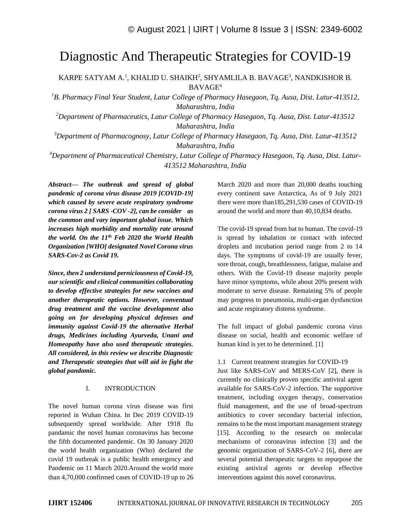# Diagnostic And Therapeutic Strategies for COVID-19

KARPE SATYAM A.<sup>1</sup>, KHALID U. SHAIKH<sup>2</sup>, SHYAMLILA B. BAVAGE<sup>3</sup>, NANDKISHOR B. BAVAGE<sup>4</sup>

*<sup>1</sup>B. Pharmacy Final Year Student, Latur College of Pharmacy Hasegaon, Tq. Ausa, Dist. Latur-413512, Maharashtra, India*

*<sup>2</sup>Department of Pharmaceutics, Latur College of Pharmacy Hasegaon, Tq. Ausa, Dist. Latur-413512 Maharashtra, India*

*<sup>3</sup>Department of Pharmacognosy, Latur College of Pharmacy Hasegaon, Tq. Ausa, Dist. Latur-413512 Maharashtra, India*

*<sup>4</sup>Department of Pharmaceutical Chemistry, Latur College of Pharmacy Hasegaon, Tq. Ausa, Dist. Latur-413512 Maharashtra, India*

*Abstract— The outbreak and spread of global pandemic of corona virus disease 2019 [COVID-19] which caused by severe acute respiratory syndrome corona virus 2 [ SARS -COV -2], can be consider as the common and vary important global issue. Which increases high morbidity and mortality rate around the world. On the 11th Feb 2020 the World Health Organization [WHO] designated Novel Corona virus SARS-Cov-2 as Covid 19.*

*Since, then 2 understand perniciousness of Covid-19, our scientific and clinical communities collaborating to develop effective strategies for new vaccines and another therapeutic options. However, conventual drug treatment and the vaccine development also going on for developing physical defenses and immunity against Covid-19 the alternative Herbal drugs, Medicines including Ayurveda, Unani and Homeopathy have also used therapeutic strategies. All considered, in this review we describe Diagnostic and Therapeutic strategies that will aid in fight the global pandamic.*

#### I. INTRODUCTION

The novel human corona virus disease was first reported in Wuhan China. In Dec 2019 COVID-19 subsequently spread worldwide. After 1918 flu pandamic the novel human coronavirus has become the fifth documented pandemic. On 30 January 2020 the world health organization (Who) declared the covid 19 outbreak is a public health emergency and Pandemic on 11 March 2020.Around the world more than 4,70,000 confirmed cases of COVID-19 up to 26 March 2020 and more than 20,000 deaths touching every continent save Antarctica, As of 9 July 2021 there were more than185,291,530 cases of COVID-19 around the world and more than 40,10,834 deaths.

The covid-19 spread from bat to human. The covid-19 is spread by inhalation or contact with infected droplets and incubation period range from 2 to 14 days. The symptoms of covid-19 are usually fever, sore throat, cough, breathlessness, fatigue, malaise and others. With the Covid-19 disease majority people have minor symptoms, while about 20% present with moderate to serve disease. Remaining 5% of people may progress to pneumonia, multi-organ dysfunction and acute respiratory distress syndrome.

The full impact of global pandemic corona virus disease on social, health and economic welfare of human kind is yet to be determined. [1]

## 1.1 Current treatment strategies for COVID-19

Just like SARS-CoV and MERS-CoV [2], there is currently no clinically proven specific antiviral agent available for SARS-CoV-2 infection. The supportive treatment, including oxygen therapy, conservation fluid management, and the use of broad-spectrum antibiotics to cover secondary bacterial infection, remains to be the most important management strategy [15]. According to the research on molecular mechanisms of coronavirus infection [3] and the genomic organization of SARS-CoV-2 [6], there are several potential therapeutic targets to repurpose the existing antiviral agents or develop effective interventions against this novel coronavirus.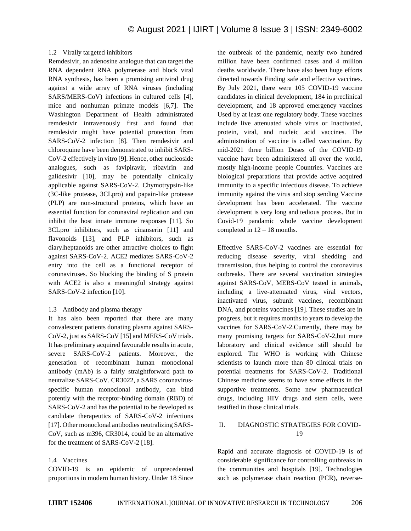## 1.2 Virally targeted inhibitors

Remdesivir, an adenosine analogue that can target the RNA dependent RNA polymerase and block viral RNA synthesis, has been a promising antiviral drug against a wide array of RNA viruses (including SARS/MERS-CoV) infections in cultured cells [4], mice and nonhuman primate models [6,7]. The Washington Department of Health administrated remdesivir intravenously first and found that remdesivir might have potential protection from SARS-CoV-2 infection [8]. Then remdesivir and chloroquine have been demonstrated to inhibit SARS-CoV-2 effectively in vitro [9]. Hence, other nucleoside analogues, such as favipiravir, ribavirin and galidesivir [10], may be potentially clinically applicable against SARS-CoV-2. Chymotrypsin-like (3C-like protease, 3CLpro) and papain-like protease (PLP) are non-structural proteins, which have an essential function for coronaviral replication and can inhibit the host innate immune responses [11]. So 3CLpro inhibitors, such as cinanserin [11] and flavonoids [13], and PLP inhibitors, such as diarylheptanoids are other attractive choices to fight against SARS-CoV-2. ACE2 mediates SARS-CoV-2 entry into the cell as a functional receptor of coronaviruses. So blocking the binding of S protein with ACE2 is also a meaningful strategy against SARS-CoV-2 infection [10].

## 1.3 Antibody and plasma therapy

It has also been reported that there are many convalescent patients donating plasma against SARS-CoV-2, just as SARS-CoV [15] and MERS-CoV trials. It has preliminary acquired favourable results in acute, severe SARS-CoV-2 patients. Moreover, the generation of recombinant human monoclonal antibody (mAb) is a fairly straightforward path to neutralize SARS-CoV. CR3022, a SARS coronavirusspecific human monoclonal antibody, can bind potently with the receptor-binding domain (RBD) of SARS-CoV-2 and has the potential to be developed as candidate therapeutics of SARS-CoV-2 infections [17]. Other monoclonal antibodies neutralizing SARS-CoV, such as m396, CR3014, could be an alternative for the treatment of SARS-CoV-2 [18].

## 1.4 Vaccines

COVID-19 is an epidemic of unprecedented proportions in modern human history. Under 18 Since the outbreak of the pandemic, nearly two hundred million have been confirmed cases and 4 million deaths worldwide. There have also been huge efforts directed towards Finding safe and effective vaccines. By July 2021, there were 105 COVID-19 vaccine candidates in clinical development, 184 in preclinical development, and 18 approved emergency vaccines Used by at least one regulatory body. These vaccines include live attenuated whole virus or Inactivated, protein, viral, and nucleic acid vaccines. The administration of vaccine is called vaccination. By mid-2021 three billion Doses of the COVID-19 vaccine have been administered all over the world, mostly high-income people Countries. Vaccines are biological preparations that provide active acquired immunity to a specific infectious disease. To achieve immunity against the virus and stop sending Vaccine development has been accelerated. The vaccine development is very long and tedious process. But in Covid-19 pandamic whole vaccine development completed in  $12 - 18$  months.

Effective SARS-CoV-2 vaccines are essential for reducing disease severity, viral shedding and transmission, thus helping to control the coronavirus outbreaks. There are several vaccination strategies against SARS-CoV, MERS-CoV tested in animals, including a live-attenuated virus, viral vectors, inactivated virus, subunit vaccines, recombinant DNA, and proteins vaccines [19]. These studies are in progress, but it requires months to years to develop the vaccines for SARS-CoV-2.Currently, there may be many promising targets for SARS-CoV-2,but more laboratory and clinical evidence still should be explored. The WHO is working with Chinese scientists to launch more than 80 clinical trials on potential treatments for SARS-CoV-2. Traditional Chinese medicine seems to have some effects in the supportive treatments. Some new pharmaceutical drugs, including HIV drugs and stem cells, were testified in those clinical trials.

## II. DIAGNOSTIC STRATEGIES FOR COVID-19

Rapid and accurate diagnosis of COVID-19 is of considerable significance for controlling outbreaks in the communities and hospitals [19]. Technologies such as polymerase chain reaction (PCR), reverse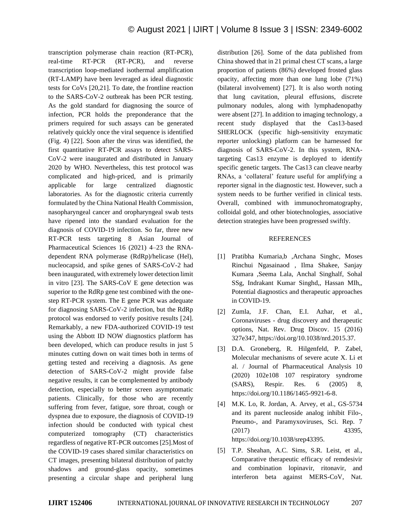transcription polymerase chain reaction (RT-PCR), real-time RT-PCR (RT-PCR), and reverse transcription loop-mediated isothermal amplification (RT-LAMP) have been leveraged as ideal diagnostic tests for CoVs [20,21]. To date, the frontline reaction to the SARS-CoV-2 outbreak has been PCR testing. As the gold standard for diagnosing the source of infection, PCR holds the preponderance that the primers required for such assays can be generated relatively quickly once the viral sequence is identified (Fig. 4) [22]. Soon after the virus was identified, the first quantitative RT-PCR assays to detect SARS-CoV-2 were inaugurated and distributed in January 2020 by WHO. Nevertheless, this test protocol was complicated and high-priced, and is primarily applicable for large centralized diagnostic laboratories. As for the diagnostic criteria currently formulated by the China National Health Commission, nasopharyngeal cancer and oropharyngeal swab tests have ripened into the standard evaluation for the diagnosis of COVID-19 infection. So far, three new RT-PCR tests targeting 8 Asian Journal of Pharmaceutical Sciences 16 (2021) 4–23 the RNAdependent RNA polymerase (RdRp)/helicase (Hel), nucleocapsid, and spike genes of SARS-CoV-2 had been inaugurated, with extremely lower detection limit in vitro [23]. The SARS-CoV E gene detection was superior to the RdRp gene test combined with the onestep RT-PCR system. The E gene PCR was adequate for diagnosing SARS-CoV-2 infection, but the RdRp protocol was endorsed to verify positive results [24]. Remarkably, a new FDA-authorized COVID-19 test using the Abbott ID NOW diagnostics platform has been developed, which can produce results in just 5 minutes cutting down on wait times both in terms of getting tested and receiving a diagnosis. As gene detection of SARS-CoV-2 might provide false negative results, it can be complemented by antibody detection, especially to better screen asymptomatic patients. Clinically, for those who are recently suffering from fever, fatigue, sore throat, cough or dyspnea due to exposure, the diagnosis of COVID-19 infection should be conducted with typical chest computerized tomography (CT) characteristics regardless of negative RT-PCR outcomes [25].Most of the COVID-19 cases shared similar characteristics on CT images, presenting bilateral distribution of patchy shadows and ground-glass opacity, sometimes presenting a circular shape and peripheral lung

distribution [26]. Some of the data published from China showed that in 21 primal chest CT scans, a large proportion of patients (86%) developed frosted glass opacity, affecting more than one lung lobe (71%) (bilateral involvement) [27]. It is also worth noting that lung cavitation, pleural effusions, discrete pulmonary nodules, along with lymphadenopathy were absent [27]. In addition to imaging technology, a recent study displayed that the Cas13-based SHERLOCK (specific high-sensitivity enzymatic reporter unlocking) platform can be harnessed for diagnosis of SARS-CoV-2. In this system, RNAtargeting Cas13 enzyme is deployed to identify specific genetic targets. The Cas13 can cleave nearby RNAs, a 'collateral' feature useful for amplifying a reporter signal in the diagnostic test. However, such a system needs to be further verified in clinical tests. Overall, combined with immunochromatography, colloidal gold, and other biotechnologies, associative detection strategies have been progressed swiftly.

#### REFERENCES

- [1] Pratibha Kumaria,b ,Archana Singhc, Moses Rinchui Ngasainaod , Ilma Shakee, Sanjay Kumara ,Seema Lala, Anchal Singhalf, Sohal SSg, Indrakant Kumar Singhd,, Hassan MIh,, Potential diagnostics and therapeutic approaches in COVID-19.
- [2] Zumla, J.F. Chan, E.I. Azhar, et al., Coronaviruses - drug discovery and therapeutic options, Nat. Rev. Drug Discov. 15 (2016) 327e347, https://doi.org/10.1038/nrd.2015.37.
- [3] D.A. Groneberg, R. Hilgenfeld, P. Zabel, Molecular mechanisms of severe acute X. Li et al. / Journal of Pharmaceutical Analysis 10 (2020) 102e108 107 respiratory syndrome (SARS), Respir. Res. 6 (2005) 8, https://doi.org/10.1186/1465-9921-6-8.
- [4] M.K. Lo, R. Jordan, A. Arvey, et al., GS-5734 and its parent nucleoside analog inhibit Filo-, Pneumo-, and Paramyxoviruses, Sci. Rep. 7 (2017) 43395, https://doi.org/10.1038/srep43395.
- [5] T.P. Sheahan, A.C. Sims, S.R. Leist, et al., Comparative therapeutic efficacy of remdesivir and combination lopinavir, ritonavir, and interferon beta against MERS-CoV, Nat.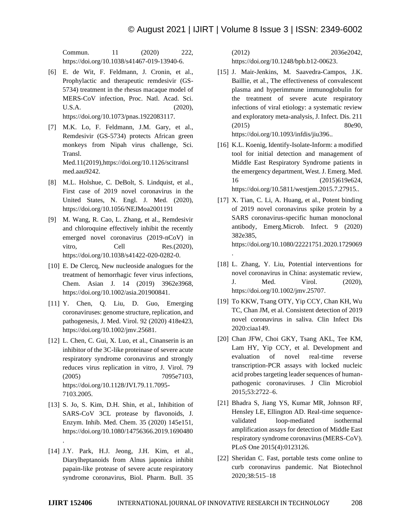.

Commun. 11 (2020) 222, https://doi.org/10.1038/s41467-019-13940-6.

- [6] E. de Wit, F. Feldmann, J. Cronin, et al., Prophylactic and therapeutic remdesivir (GS-5734) treatment in the rhesus macaque model of MERS-CoV infection, Proc. Natl. Acad. Sci. U.S.A. (2020), https://doi.org/10.1073/pnas.1922083117.
- [7] M.K. Lo, F. Feldmann, J.M. Gary, et al., Remdesivir (GS-5734) protects African green monkeys from Nipah virus challenge, Sci. Transl. Med.11(2019),https://doi.org/10.1126/scitransl med.aau9242.
- [8] M.L. Holshue, C. DeBolt, S. Lindquist, et al., First case of 2019 novel coronavirus in the United States, N. Engl. J. Med. (2020), https://doi.org/10.1056/NEJMoa2001191
- [9] M. Wang, R. Cao, L. Zhang, et al., Remdesivir and chloroquine effectively inhibit the recently emerged novel coronavirus (2019-nCoV) in vitro, Cell Res.(2020), https://doi.org/10.1038/s41422-020-0282-0.
- [10] E. De Clercq, New nucleoside analogues for the treatment of hemorrhagic fever virus infections, Chem. Asian J. 14 (2019) 3962e3968, https://doi.org/10.1002/asia.201900841.
- [11] Y. Chen, Q. Liu, D. Guo, Emerging coronaviruses: genome structure, replication, and pathogenesis, J. Med. Virol. 92 (2020) 418e423, https://doi.org/10.1002/jmv.25681.
- [12] L. Chen, C. Gui, X. Luo, et al., Cinanserin is an inhibitor of the 3C-like proteinase of severe acute respiratory syndrome coronavirus and strongly reduces virus replication in vitro, J. Virol. 79 (2005) 7095e7103, https://doi.org/10.1128/JVI.79.11.7095- 7103.2005.
- [13] S. Jo, S. Kim, D.H. Shin, et al., Inhibition of SARS-CoV 3CL protease by flavonoids, J. Enzym. Inhib. Med. Chem. 35 (2020) 145e151, https://doi.org/10.1080/14756366.2019.1690480

.

[14] J.Y. Park, H.J. Jeong, J.H. Kim, et al., Diarylheptanoids from Alnus japonica inhibit papain-like protease of severe acute respiratory syndrome coronavirus, Biol. Pharm. Bull. 35

(2012) 2036e2042, https://doi.org/10.1248/bpb.b12-00623.

- [15] J. Mair-Jenkins, M. Saavedra-Campos, J.K. Baillie, et al., The effectiveness of convalescent plasma and hyperimmune immunoglobulin for the treatment of severe acute respiratory infections of viral etiology: a systematic review and exploratory meta-analysis, J. Infect. Dis. 211 (2015) 80e90, https://doi.org/10.1093/infdis/jiu396..
- [16] K.L. Koenig, Identify-Isolate-Inform: a modified tool for initial detection and management of Middle East Respiratory Syndrome patients in the emergency department, West. J. Emerg. Med. 16 (2015)619e624, https://doi.org/10.5811/westjem.2015.7.27915..
- [17] X. Tian, C. Li, A. Huang, et al., Potent binding of 2019 novel coronavirus spike protein by a SARS coronavirus-specific human monoclonal antibody, Emerg.Microb. Infect. 9 (2020) 382e385, https://doi.org/10.1080/22221751.2020.1729069
- [18] L. Zhang, Y. Liu, Potential interventions for novel coronavirus in China: asystematic review, J. Med. Virol. (2020), https://doi.org/10.1002/jmv.25707.
- [19] To KKW, Tsang OTY, Yip CCY, Chan KH, Wu TC, Chan JM, et al. Consistent detection of 2019 novel coronavirus in saliva. Clin Infect Dis 2020:ciaa149.
- [20] Chan JFW, Choi GKY, Tsang AKL, Tee KM, Lam HY, Yip CCY, et al. Development and evaluation of novel real-time reverse transcription-PCR assays with locked nucleic acid probes targeting leader sequences of humanpathogenic coronaviruses. J Clin Microbiol 2015;53:2722–6.
- [21] Bhadra S, Jiang YS, Kumar MR, Johnson RF, Hensley LE, Ellington AD. Real-time sequencevalidated loop-mediated isothermal amplification assays for detection of Middle East respiratory syndrome coronavirus (MERS-CoV). PLoS One 2015(4):0123126.
- [22] Sheridan C. Fast, portable tests come online to curb coronavirus pandemic. Nat Biotechnol 2020;38:515–18